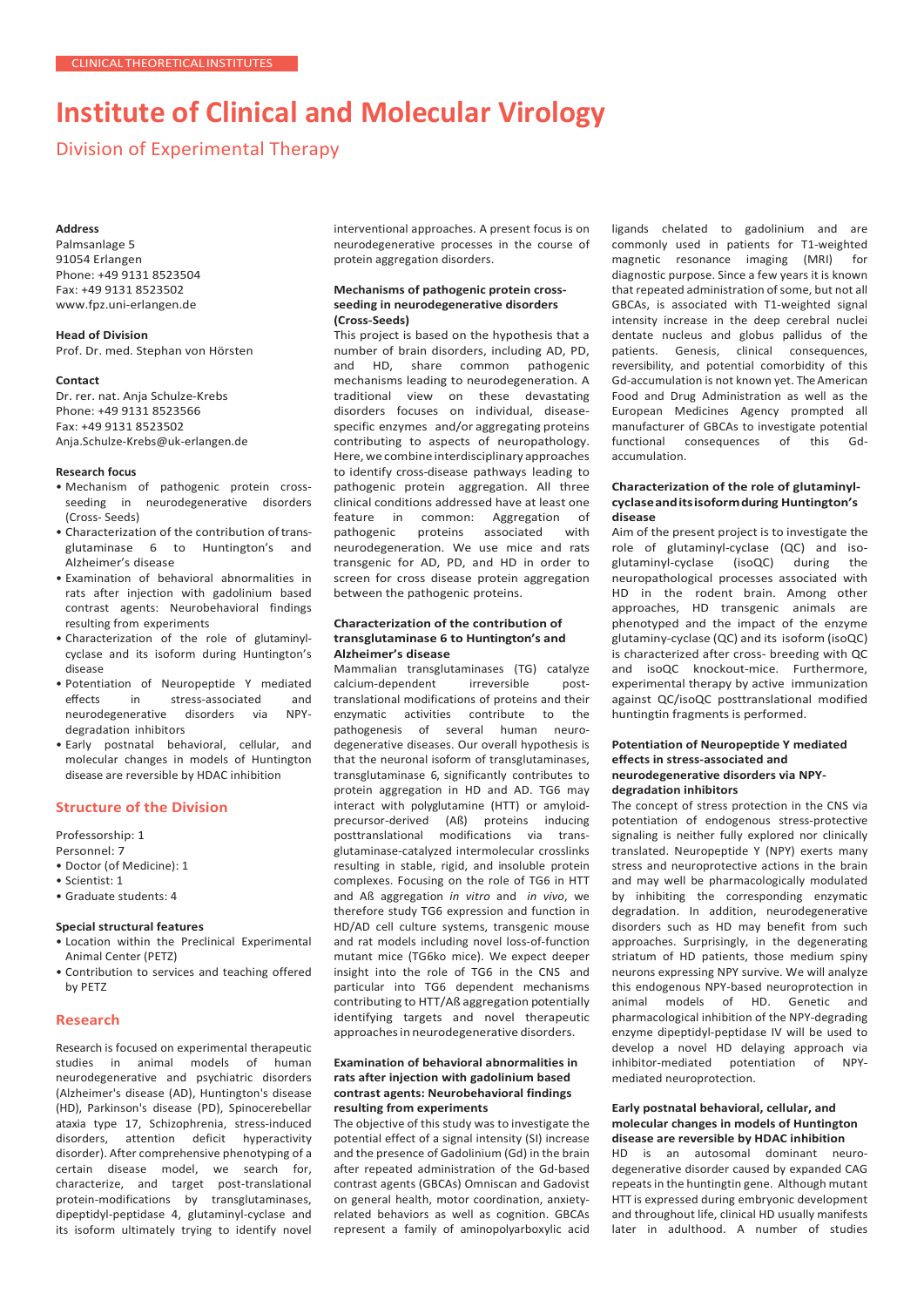# **Institute of Clinical and Molecular Virology**

Division of Experimental Therapy

#### **Address**

Palmsanlage 5 91054 Erlangen Phone: +49 9131 8523504 Fax: +49 9131 8523502 [www.fpz.uni-erlangen.de](http://www.fpz.uni-erlangen.de/)

**Head of Division** Prof. Dr. med. Stephan von Hörsten

#### **Contact**

Dr. rer. nat. Anja Schulze-Krebs Phone: +49 9131 8523566 Fax: +49 9131 8523502 [Anja.Schulze-Krebs@uk-erlangen.de](mailto:Anja.Schulze-Krebs@uk-erlangen.de)

#### **Research focus**

- Mechanism of pathogenic protein crossseeding in neurodegenerative disorders (Cross- Seeds)
- Characterization of the contribution of transglutaminase 6 to Huntington's and Alzheimer's disease
- Examination of behavioral abnormalities in rats after injection with gadolinium based contrast agents: Neurobehavioral findings resulting from experiments
- Characterization of the role of glutaminylcyclase and its isoform during Huntington's disease
- Potentiation of Neuropeptide Y mediated effects in stress-associated and<br>neurodegenerative disorders via NPYneurodegenerative disorders via degradation inhibitors
- Early postnatal behavioral, cellular, and molecular changes in models of Huntington disease are reversible by HDAC inhibition

## **Structure of the Division**

Professorship: 1

Personnel: 7

- Doctor (of Medicine): 1
- Scientist: 1
- Graduate students: 4

## **Special structural features**

- Location within the Preclinical Experimental Animal Center (PETZ)
- Contribution to services and teaching offered by PETZ

## **Research**

Research is focused on experimental therapeutic studies in animal models of human neurodegenerative and psychiatric disorders (Alzheimer's disease (AD), Huntington's disease (HD), Parkinson's disease (PD), Spinocerebellar ataxia type 17, Schizophrenia, stress-induced disorders, attention deficit hyperactivity disorder). After comprehensive phenotyping of a certain disease model, we search for, characterize, and target post-translational protein-modifications by transglutaminases, dipeptidyl-peptidase 4, glutaminyl-cyclase and its isoform ultimately trying to identify novel interventional approaches. A present focus is on neurodegenerative processes in the course of protein aggregation disorders.

#### **Mechanisms of pathogenic protein crossseeding in neurodegenerative disorders (Cross-Seeds)**

This project is based on the hypothesis that a number of brain disorders, including AD, PD, and HD, share common pathogenic mechanisms leading to neurodegeneration. A traditional view on these devastating disorders focuses on individual, diseasespecific enzymes and/or aggregating proteins contributing to aspects of neuropathology. Here, we combine interdisciplinary approaches to identify cross-disease pathways leading to pathogenic protein aggregation. All three clinical conditions addressed have at least one feature in common: Aggregation of<br>pathogenic proteins associated with associated neurodegeneration. We use mice and rats transgenic for AD, PD, and HD in order to screen for cross disease protein aggregation between the pathogenic proteins.

#### **Characterization of the contribution of transglutaminase 6 to Huntington's and Alzheimer's disease**

Mammalian transglutaminases (TG) catalyze calcium-dependent irreversible posttranslational modifications of proteins and their enzymatic activities contribute to the pathogenesis of several human neurodegenerative diseases. Our overall hypothesis is that the neuronal isoform of transglutaminases, transglutaminase 6, significantly contributes to protein aggregation in HD and AD. TG6 may interact with polyglutamine (HTT) or amyloidprecursor-derived (Aß) proteins inducing posttranslational modifications via transglutaminase-catalyzed intermolecular crosslinks resulting in stable, rigid, and insoluble protein complexes. Focusing on the role of TG6 in HTT and Aß aggregation *in vitro* and *in vivo*, we therefore study TG6 expression and function in HD/AD cell culture systems, transgenic mouse and rat models including novel loss-of-function mutant mice (TG6ko mice). We expect deeper insight into the role of TG6 in the CNS and particular into TG6 dependent mechanisms contributing to HTT/Aß aggregation potentially identifying targets and novel therapeutic approaches in neurodegenerative disorders.

## **Examination of behavioral abnormalities in rats after injection with gadolinium based contrast agents: Neurobehavioral findings resulting from experiments**

The objective of this study was to investigate the potential effect of a signal intensity (SI) increase and the presence of Gadolinium (Gd) in the brain after repeated administration of the Gd-based contrast agents (GBCAs) Omniscan and Gadovist on general health, motor coordination, anxietyrelated behaviors as well as cognition. GBCAs represent a family of aminopolyarboxylic acid ligands chelated to gadolinium and are commonly used in patients for T1-weighted magnetic resonance imaging (MRI) for diagnostic purpose. Since a few years it is known that repeated administration of some, but not all GBCAs, is associated with T1-weighted signal intensity increase in the deep cerebral nuclei dentate nucleus and globus pallidus of the patients. Genesis, clinical consequences, reversibility, and potential comorbidity of this Gd-accumulation is not known yet. The American Food and Drug Administration as well as the European Medicines Agency prompted all manufacturer of GBCAs to investigate potential functional consequences of this Gdaccumulation.

### **Characterization of the role of glutaminylcyclaseanditsisoformduring Huntington's disease**

Aim of the present project is to investigate the role of glutaminyl-cyclase (QC) and isoglutaminyl-cyclase (isoQC) during the neuropathological processes associated with HD in the rodent brain. Among other approaches, HD transgenic animals are phenotyped and the impact of the enzyme glutaminy-cyclase (QC) and its isoform (isoQC) is characterized after cross- breeding with QC and isoQC knockout-mice. Furthermore, experimental therapy by active immunization against QC/isoQC posttranslational modified huntingtin fragments is performed.

#### **Potentiation of Neuropeptide Y mediated effects in stress-associated and neurodegenerative disorders via NPYdegradation inhibitors**

The concept of stress protection in the CNS via potentiation of endogenous stress-protective signaling is neither fully explored nor clinically translated. Neuropeptide Y (NPY) exerts many stress and neuroprotective actions in the brain and may well be pharmacologically modulated by inhibiting the corresponding enzymatic degradation. In addition, neurodegenerative disorders such as HD may benefit from such approaches. Surprisingly, in the degenerating striatum of HD patients, those medium spiny neurons expressing NPY survive. We will analyze this endogenous NPY-based neuroprotection in animal models of HD. Genetic and pharmacological inhibition of the NPY-degrading enzyme dipeptidyl-peptidase IV will be used to develop a novel HD delaying approach via inhibitor-mediated potentiation of NPYmediated neuroprotection.

#### **Early postnatal behavioral, cellular, and molecular changes in models of Huntington disease are reversible by HDAC inhibition**

HD is an autosomal dominant neurodegenerative disorder caused by expanded CAG repeats in the huntingtin gene. Although mutant HTT is expressed during embryonic development and throughout life, clinical HD usually manifests later in adulthood. A number of studies